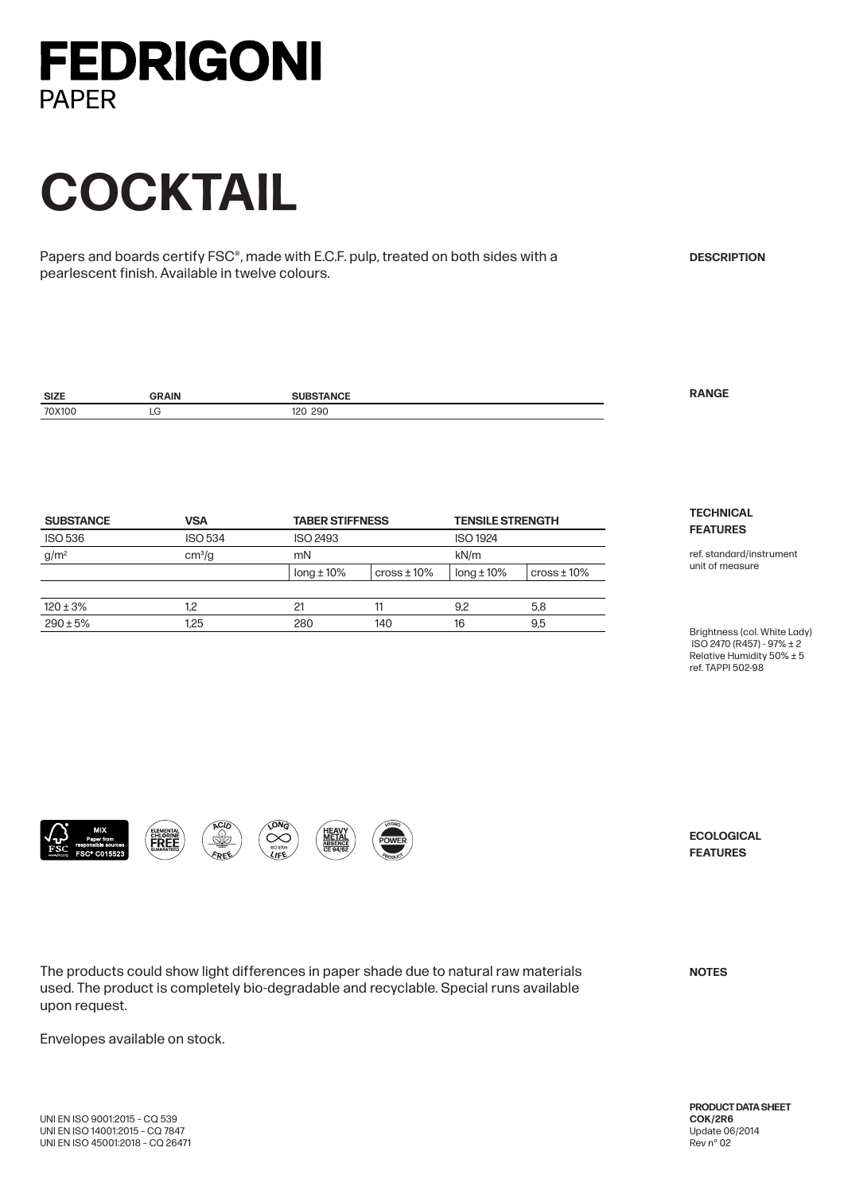

## **COCKTAIL**

Papers and boards certify FSC®, made with E.C.F. pulp, treated on both sides with a pearlescent finish. Available in twelve colours.

**DESCRIPTION**

| <b>SIZE</b> | <b>AIN</b>  |            | $\overline{\phantom{a}}$ |
|-------------|-------------|------------|--------------------------|
| 70X100      | $\sim$<br>ᅜ | 290<br>121 |                          |
|             |             |            |                          |

| <b>SUBSTANCE</b> | <b>VSA</b>         | <b>TABER STIFFNESS</b> |            | <b>TENSILE STRENGTH</b> |            |
|------------------|--------------------|------------------------|------------|-------------------------|------------|
| <b>ISO 536</b>   | <b>ISO 534</b>     | <b>ISO 2493</b>        |            | <b>ISO 1924</b>         |            |
| g/m <sup>2</sup> | cm <sup>3</sup> /g | mN                     |            | kN/m                    |            |
|                  |                    | $long \pm 10\%$        | $\cos$ 10% | $long \pm 10\%$         | $\cos$ 10% |
|                  |                    |                        |            |                         |            |
| $120 \pm 3\%$    | 1.2                | 21                     | 11         | 9.2                     | 5,8        |
| $290 \pm 5%$     | 1,25               | 280                    | 140        | 16                      | 9,5        |

## **TECHNICAL FEATURES**

ref. standard/instrument unit of measure

Brightness (col. White Lady) ISO 2470 (R457) - 97% ± 2 Relative Humidity 50% ± 5 ref. TAPPI 502-98







**ECOLOGICAL FEATURES**

**NOTES**

The products could show light differences in paper shade due to natural raw materials used. The product is completely bio-degradable and recyclable. Special runs available upon request.

**ONG** 

 $\infty$ 

 $\overline{L}$ IFE

Envelopes available on stock.